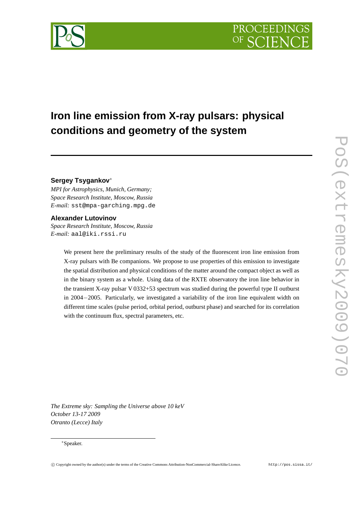

# **Iron line emission from X-ray pulsars: physical conditions and geometry of the system**

# **Sergey Tsygankov**<sup>∗</sup>

*MPI for Astrophysics, Munich, Germany; Space Research Institute, Moscow, Russia E-mail:* sst@mpa-garching.mpg.de

## **Alexander Lutovinov**

*Space Research Institute, Moscow, Russia E-mail:* aal@iki.rssi.ru

> We present here the preliminary results of the study of the fluorescent iron line emission from X-ray pulsars with Be companions. We propose to use properties of this emission to investigate the spatial distribution and physical conditions of the matter around the compact object as well as in the binary system as a whole. Using data of the RXTE observatory the iron line behavior in the transient X-ray pulsar V 0332+53 spectrum was studied during the powerful type II outburst in 2004−2005. Particularly, we investigated a variability of the iron line equivalent width on different time scales (pulse period, orbital period, outburst phase) and searched for its correlation with the continuum flux, spectral parameters, etc.

*The Extreme sky: Sampling the Universe above 10 keV October 13-17 2009 Otranto (Lecce) Italy*

#### <sup>∗</sup>Speaker.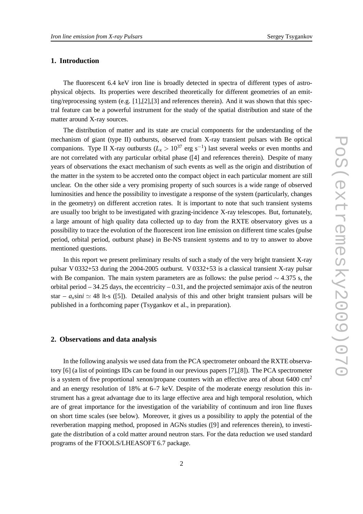# **1. Introduction**

The fluorescent 6.4 keV iron line is broadly detected in spectra of different types of astrophysical objects. Its properties were described theoretically for different geometries of an emitting/reprocessing system (e.g. [1],[2],[3] and references therein). And it was shown that this spectral feature can be a powerful instrument for the study of the spatial distribution and state of the matter around X-ray sources.

The distribution of matter and its state are crucial components for the understanding of the mechanism of giant (type II) outbursts, observed from X-ray transient pulsars with Be optical companions. Type II X-ray outbursts  $(L_x > 10^{37} \text{ erg s}^{-1})$  last several weeks or even months and are not correlated with any particular orbital phase ([4] and references therein). Despite of many years of observations the exact mechanism of such events as well as the origin and distribution of the matter in the system to be accreted onto the compact object in each particular moment are still unclear. On the other side a very promising property of such sources is a wide range of observed luminosities and hence the possibility to investigate a response of the system (particularly, changes in the geometry) on different accretion rates. It is important to note that such transient systems are usually too bright to be investigated with grazing-incidence X-ray telescopes. But, fortunately, a large amount of high quality data collected up to day from the RXTE observatory gives us a possibility to trace the evolution of the fluorescent iron line emission on different time scales (pulse period, orbital period, outburst phase) in Be-NS transient systems and to try to answer to above mentioned questions.

In this report we present preliminary results of such a study of the very bright transient X-ray pulsar V 0332+53 during the 2004-2005 outburst. V 0332+53 is a classical transient X-ray pulsar with Be companion. The main system parameters are as follows: the pulse period  $\sim$  4.375 s, the orbital period  $-34.25$  days, the eccentricity  $-0.31$ , and the projected semimajor axis of the neutron star –  $a_x \sin i \approx 48$  lt-s ([5]). Detailed analysis of this and other bright transient pulsars will be published in a forthcoming paper (Tsygankov et al., in preparation).

# **2. Observations and data analysis**

In the following analysis we used data from the PCA spectrometer onboard the RXTE observatory [6] (a list of pointings IDs can be found in our previous papers [7],[8]). The PCA spectrometer is a system of five proportional xenon/propane counters with an effective area of about 6400  $\text{cm}^2$ and an energy resolution of 18% at 6–7 keV. Despite of the moderate energy resolution this instrument has a great advantage due to its large effective area and high temporal resolution, which are of great importance for the investigation of the variability of continuum and iron line fluxes on short time scales (see below). Moreover, it gives us a possibility to apply the potential of the reverberation mapping method, proposed in AGNs studies ([9] and references therein), to investigate the distribution of a cold matter around neutron stars. For the data reduction we used standard programs of the FTOOLS/LHEASOFT 6.7 package.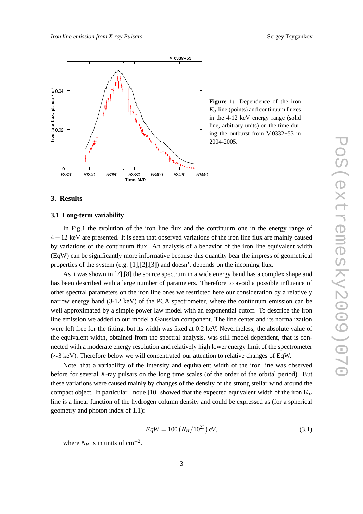

**Figure 1:** Dependence of the iron  $K_{\alpha}$  line (points) and continuum fluxes in the 4-12 keV energy range (solid line, arbitrary units) on the time during the outburst from V 0332+53 in 2004-2005.

# **3. Results**

#### **3.1 Long-term variability**

In Fig.1 the evolution of the iron line flux and the continuum one in the energy range of 4−12 keV are presented. It is seen that observed variations of the iron line flux are mainly caused by variations of the continuum flux. An analysis of a behavior of the iron line equivalent width (EqW) can be significantly more informative because this quantity bear the impress of geometrical properties of the system (e.g. [1],[2],[3]) and doesn't depends on the incoming flux.

As it was shown in [7],[8] the source spectrum in a wide energy band has a complex shape and has been described with a large number of parameters. Therefore to avoid a possible influence of other spectral parameters on the iron line ones we restricted here our consideration by a relatively narrow energy band (3-12 keV) of the PCA spectrometer, where the continuum emission can be well approximated by a simple power law model with an exponential cutoff. To describe the iron line emission we added to our model a Gaussian component. The line center and its normalization were left free for the fitting, but its width was fixed at 0.2 keV. Nevertheless, the absolute value of the equivalent width, obtained from the spectral analysis, was still model dependent, that is connected with a moderate energy resolution and relatively high lower energy limit of the spectrometer (∼3 keV). Therefore below we will concentrated our attention to relative changes of EqW.

Note, that a variability of the intensity and equivalent width of the iron line was observed before for several X-ray pulsars on the long time scales (of the order of the orbital period). But these variations were caused mainly by changes of the density of the strong stellar wind around the compact object. In particular, Inoue [10] showed that the expected equivalent width of the iron  $K_{\alpha}$ line is a linear function of the hydrogen column density and could be expressed as (for a spherical geometry and photon index of 1.1):

$$
EqW = 100 (N_H / 10^{23}) eV,
$$
\n(3.1)

where  $N_H$  is in units of cm<sup>-2</sup>.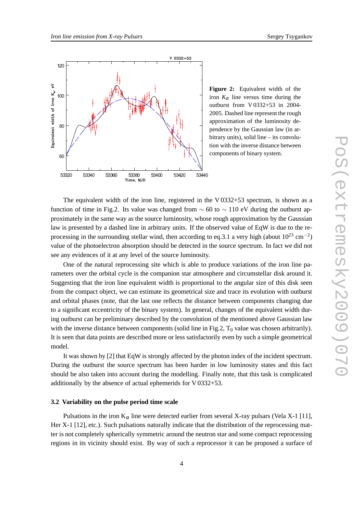

**Figure 2:** Equivalent width of the iron  $K_{\alpha}$  line versus time during the outburst from V 0332+53 in 2004- 2005. Dashed line represent the rough approximation of the luminosity dependence by the Gaussian law (in arbitrary units), solid line – its convolution with the inverse distance between components of binary system.

The equivalent width of the iron line, registered in the V  $0332+53$  spectrum, is shown as a function of time in Fig.2. Its value was changed from  $\sim$  60 to  $\sim$  110 eV during the outburst approximately in the same way as the source luminosity, whose rough approximation by the Gaussian law is presented by a dashed line in arbitrary units. If the observed value of EqW is due to the reprocessing in the surrounding stellar wind, then according to eq.3.1 a very high (about  $10^{23}$  cm<sup>-2</sup>) value of the photoelectron absorption should be detected in the source spectrum. In fact we did not see any evidences of it at any level of the source luminosity.

One of the natural reprocessing site which is able to produce variations of the iron line parameters over the orbital cycle is the companion star atmosphere and circumstellar disk around it. Suggesting that the iron line equivalent width is proportional to the angular size of this disk seen from the compact object, we can estimate its geometrical size and trace its evolution with outburst and orbital phases (note, that the last one reflects the distance between components changing due to a significant eccentricity of the binary system). In general, changes of the equivalent width during outburst can be preliminary described by the convolution of the mentioned above Gaussian law with the inverse distance between components (solid line in Fig.2,  $T_0$  value was chosen arbitrarily). It is seen that data points are described more or less satisfactorily even by such a simple geometrical model.

It was shown by [2] that EqW is strongly affected by the photon index of the incident spectrum. During the outburst the source spectrum has been harder in low luminosity states and this fact should be also taken into account during the modelling. Finally note, that this task is complicated additionally by the absence of actual ephemerids for V 0332+53.

#### **3.2 Variability on the pulse period time scale**

Pulsations in the iron  $K_{\alpha}$  line were detected earlier from several X-ray pulsars (Vela X-1 [11], Her X-1 [12], etc.). Such pulsations naturally indicate that the distribution of the reprocessing matter is not completely spherically symmetric around the neutron star and some compact reprocessing regions in its vicinity should exist. By way of such a reprocessor it can be proposed a surface of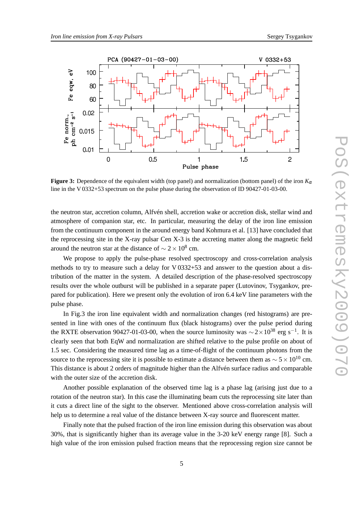

**Figure 3:** Dependence of the equivalent width (top panel) and normalization (bottom panel) of the iron  $K_{\alpha}$ line in the V 0332+53 spectrum on the pulse phase during the observation of ID 90427-01-03-00.

the neutron star, accretion column, Alfvén shell, accretion wake or accretion disk, stellar wind and atmosphere of companion star, etc. In particular, measuring the delay of the iron line emission from the continuum component in the around energy band Kohmura et al. [13] have concluded that the reprocessing site in the X-ray pulsar Cen X-3 is the accreting matter along the magnetic field around the neutron star at the distance of  $\sim$  2  $\times$  10<sup>8</sup> cm.

We propose to apply the pulse-phase resolved spectroscopy and cross-correlation analysis methods to try to measure such a delay for  $V$  0332+53 and answer to the question about a distribution of the matter in the system. A detailed description of the phase-resolved spectroscopy results over the whole outburst will be published in a separate paper (Lutovinov, Tsygankov, prepared for publication). Here we present only the evolution of iron 6.4 keV line parameters with the pulse phase.

In Fig.3 the iron line equivalent width and normalization changes (red histograms) are presented in line with ones of the continuum flux (black histograms) over the pulse period during the RXTE observation 90427-01-03-00, when the source luminosity was  $\sim$  2×10<sup>38</sup> erg s<sup>-1</sup>. It is clearly seen that both EqW and normalization are shifted relative to the pulse profile on about of 1.5 sec. Considering the measured time lag as a time-of-flight of the continuum photons from the source to the reprocessing site it is possible to estimate a distance between them as  $\sim$  5 × 10<sup>10</sup> cm. This distance is about 2 orders of magnitude higher than the Alfvén surface radius and comparable with the outer size of the accretion disk.

Another possible explanation of the observed time lag is a phase lag (arising just due to a rotation of the neutron star). In this case the illuminating beam cuts the reprocessing site later than it cuts a direct line of the sight to the observer. Mentioned above cross-correlation analysis will help us to determine a real value of the distance between X-ray source and fluorescent matter.

Finally note that the pulsed fraction of the iron line emission during this observation was about 30%, that is significantly higher than its average value in the 3-20 keV energy range [8]. Such a high value of the iron emission pulsed fraction means that the reprocessing region size cannot be